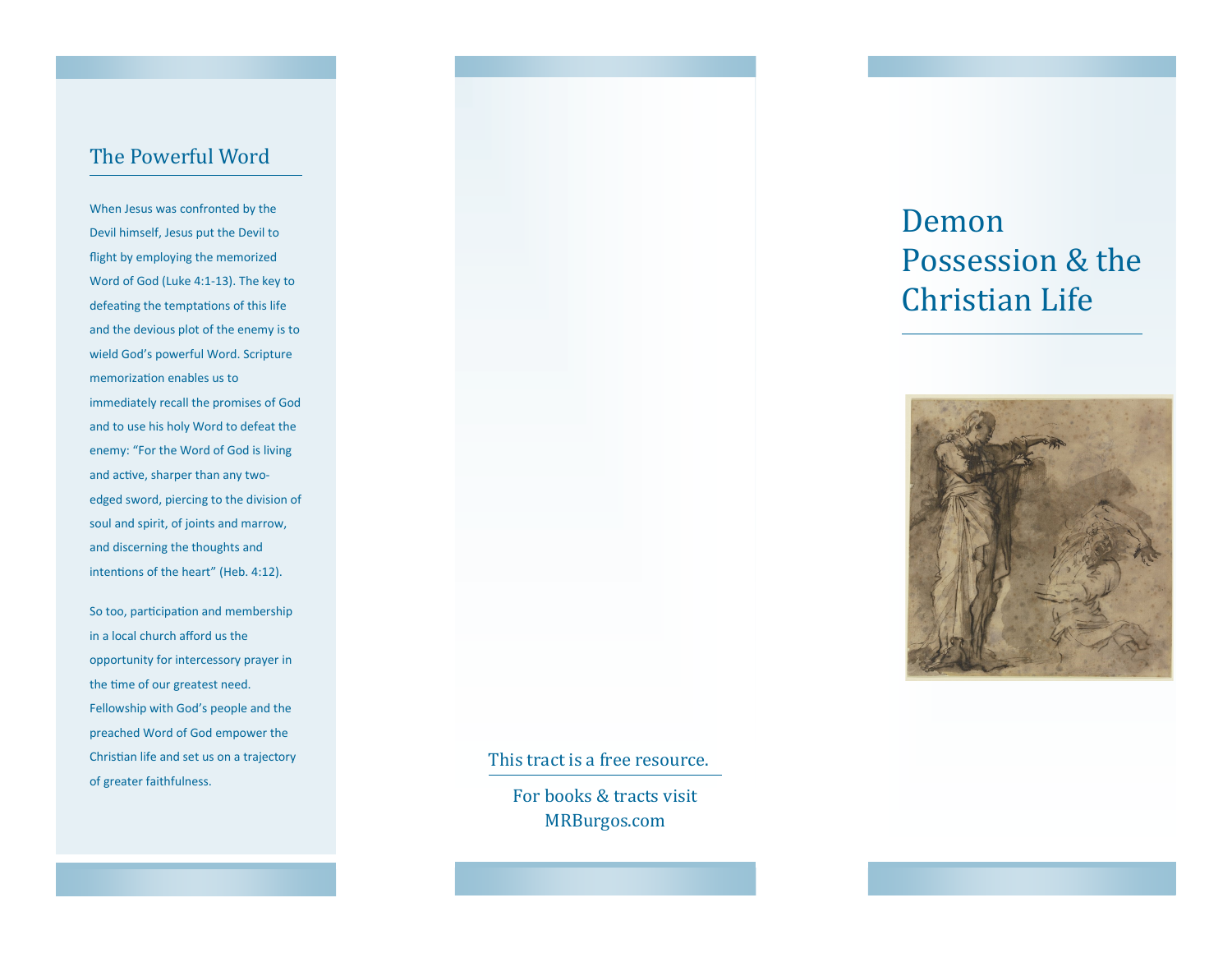## The Powerful Word

When Jesus was confronted by the Devil himself, Jesus put the Devil to flight by employing the memorized Word of God (Luke 4:1-13). The key to defeating the temptations of this life and the devious plot of the enemy is to wield God's powerful Word. Scripture memorization enables us to immediately recall the promises of God and to use his holy Word to defeat the enemy: "For the Word of God is living and active, sharper than any twoedged sword, piercing to the division of soul and spirit, of joints and marrow, and discerning the thoughts and intentions of the heart" (Heb. 4:12).

So too, participation and membership in a local church afford us the opportunity for intercessory prayer in the time of our greatest need. Fellowship with God's people and the preached Word of God empower the Christian life and set us on a trajectory of greater faithfulness.

# Demon Possession & the Christian Life



#### This tract is a free resource.

For books & tracts visit MRBurgos.com